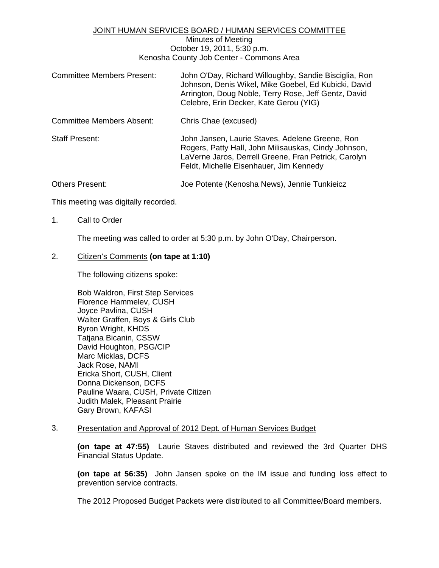### JOINT HUMAN SERVICES BOARD / HUMAN SERVICES COMMITTEE

### Minutes of Meeting October 19, 2011, 5:30 p.m. Kenosha County Job Center - Commons Area

| <b>Committee Members Present:</b> | John O'Day, Richard Willoughby, Sandie Bisciglia, Ron<br>Johnson, Denis Wikel, Mike Goebel, Ed Kubicki, David<br>Arrington, Doug Noble, Terry Rose, Jeff Gentz, David<br>Celebre, Erin Decker, Kate Gerou (YIG) |
|-----------------------------------|-----------------------------------------------------------------------------------------------------------------------------------------------------------------------------------------------------------------|
| Committee Members Absent:         | Chris Chae (excused)                                                                                                                                                                                            |
| <b>Staff Present:</b>             | John Jansen, Laurie Staves, Adelene Greene, Ron<br>Rogers, Patty Hall, John Milisauskas, Cindy Johnson,<br>LaVerne Jaros, Derrell Greene, Fran Petrick, Carolyn<br>Feldt, Michelle Eisenhauer, Jim Kennedy      |
| <b>Others Present:</b>            | Joe Potente (Kenosha News), Jennie Tunkieicz                                                                                                                                                                    |

This meeting was digitally recorded.

### 1. Call to Order

The meeting was called to order at 5:30 p.m. by John O'Day, Chairperson.

## 2. Citizen's Comments **(on tape at 1:10)**

The following citizens spoke:

 Bob Waldron, First Step Services Florence Hammelev, CUSH Joyce Pavlina, CUSH Walter Graffen, Boys & Girls Club Byron Wright, KHDS Tatjana Bicanin, CSSW David Houghton, PSG/CIP Marc Micklas, DCFS Jack Rose, NAMI Ericka Short, CUSH, Client Donna Dickenson, DCFS Pauline Waara, CUSH, Private Citizen Judith Malek, Pleasant Prairie Gary Brown, KAFASI

### 3. Presentation and Approval of 2012 Dept. of Human Services Budget

**(on tape at 47:55)** Laurie Staves distributed and reviewed the 3rd Quarter DHS Financial Status Update.

**(on tape at 56:35)** John Jansen spoke on the IM issue and funding loss effect to prevention service contracts.

The 2012 Proposed Budget Packets were distributed to all Committee/Board members.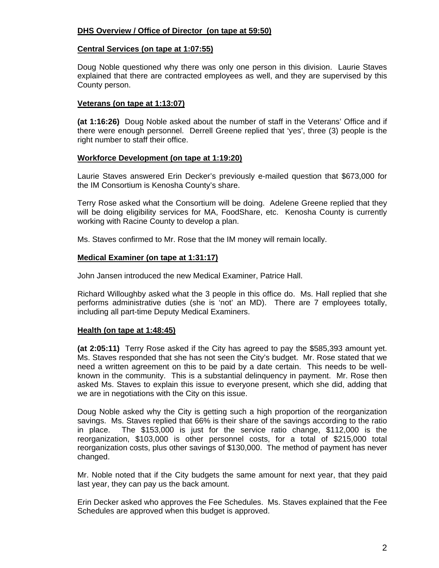# **DHS Overview / Office of Director (on tape at 59:50)**

### **Central Services (on tape at 1:07:55)**

 Doug Noble questioned why there was only one person in this division. Laurie Staves explained that there are contracted employees as well, and they are supervised by this County person.

## **Veterans (on tape at 1:13:07)**

**(at 1:16:26)** Doug Noble asked about the number of staff in the Veterans' Office and if there were enough personnel. Derrell Greene replied that 'yes', three (3) people is the right number to staff their office.

### **Workforce Development (on tape at 1:19:20)**

 Laurie Staves answered Erin Decker's previously e-mailed question that \$673,000 for the IM Consortium is Kenosha County's share.

 Terry Rose asked what the Consortium will be doing. Adelene Greene replied that they will be doing eligibility services for MA, FoodShare, etc. Kenosha County is currently working with Racine County to develop a plan.

Ms. Staves confirmed to Mr. Rose that the IM money will remain locally.

## **Medical Examiner (on tape at 1:31:17)**

John Jansen introduced the new Medical Examiner, Patrice Hall.

 Richard Willoughby asked what the 3 people in this office do. Ms. Hall replied that she performs administrative duties (she is 'not' an MD). There are 7 employees totally, including all part-time Deputy Medical Examiners.

### **Health (on tape at 1:48:45)**

**(at 2:05:11)** Terry Rose asked if the City has agreed to pay the \$585,393 amount yet. Ms. Staves responded that she has not seen the City's budget. Mr. Rose stated that we need a written agreement on this to be paid by a date certain. This needs to be wellknown in the community. This is a substantial delinquency in payment. Mr. Rose then asked Ms. Staves to explain this issue to everyone present, which she did, adding that we are in negotiations with the City on this issue.

 Doug Noble asked why the City is getting such a high proportion of the reorganization savings. Ms. Staves replied that 66% is their share of the savings according to the ratio in place. The \$153,000 is just for the service ratio change, \$112,000 is the reorganization, \$103,000 is other personnel costs, for a total of \$215,000 total reorganization costs, plus other savings of \$130,000. The method of payment has never changed.

 Mr. Noble noted that if the City budgets the same amount for next year, that they paid last year, they can pay us the back amount.

 Erin Decker asked who approves the Fee Schedules. Ms. Staves explained that the Fee Schedules are approved when this budget is approved.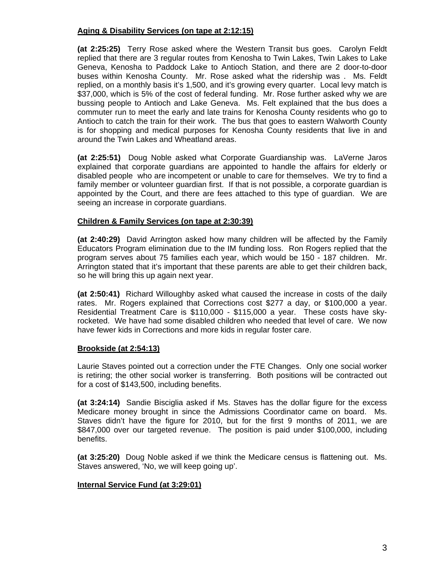# **Aging & Disability Services (on tape at 2:12:15)**

**(at 2:25:25)** Terry Rose asked where the Western Transit bus goes. Carolyn Feldt replied that there are 3 regular routes from Kenosha to Twin Lakes, Twin Lakes to Lake Geneva, Kenosha to Paddock Lake to Antioch Station, and there are 2 door-to-door buses within Kenosha County. Mr. Rose asked what the ridership was . Ms. Feldt replied, on a monthly basis it's 1,500, and it's growing every quarter. Local levy match is \$37,000, which is 5% of the cost of federal funding. Mr. Rose further asked why we are bussing people to Antioch and Lake Geneva. Ms. Felt explained that the bus does a commuter run to meet the early and late trains for Kenosha County residents who go to Antioch to catch the train for their work. The bus that goes to eastern Walworth County is for shopping and medical purposes for Kenosha County residents that live in and around the Twin Lakes and Wheatland areas.

**(at 2:25:51)** Doug Noble asked what Corporate Guardianship was. LaVerne Jaros explained that corporate guardians are appointed to handle the affairs for elderly or disabled people who are incompetent or unable to care for themselves. We try to find a family member or volunteer guardian first. If that is not possible, a corporate guardian is appointed by the Court, and there are fees attached to this type of guardian. We are seeing an increase in corporate guardians.

# **Children & Family Services (on tape at 2:30:39)**

**(at 2:40:29)** David Arrington asked how many children will be affected by the Family Educators Program elimination due to the IM funding loss. Ron Rogers replied that the program serves about 75 families each year, which would be 150 - 187 children. Mr. Arrington stated that it's important that these parents are able to get their children back, so he will bring this up again next year.

**(at 2:50:41)** Richard Willoughby asked what caused the increase in costs of the daily rates. Mr. Rogers explained that Corrections cost \$277 a day, or \$100,000 a year. Residential Treatment Care is \$110,000 - \$115,000 a year. These costs have skyrocketed. We have had some disabled children who needed that level of care. We now have fewer kids in Corrections and more kids in regular foster care.

# **Brookside (at 2:54:13)**

 Laurie Staves pointed out a correction under the FTE Changes. Only one social worker is retiring; the other social worker is transferring. Both positions will be contracted out for a cost of \$143,500, including benefits.

**(at 3:24:14)** Sandie Bisciglia asked if Ms. Staves has the dollar figure for the excess Medicare money brought in since the Admissions Coordinator came on board. Ms. Staves didn't have the figure for 2010, but for the first 9 months of 2011, we are \$847,000 over our targeted revenue. The position is paid under \$100,000, including benefits.

**(at 3:25:20)** Doug Noble asked if we think the Medicare census is flattening out. Ms. Staves answered, 'No, we will keep going up'.

# **Internal Service Fund (at 3:29:01)**